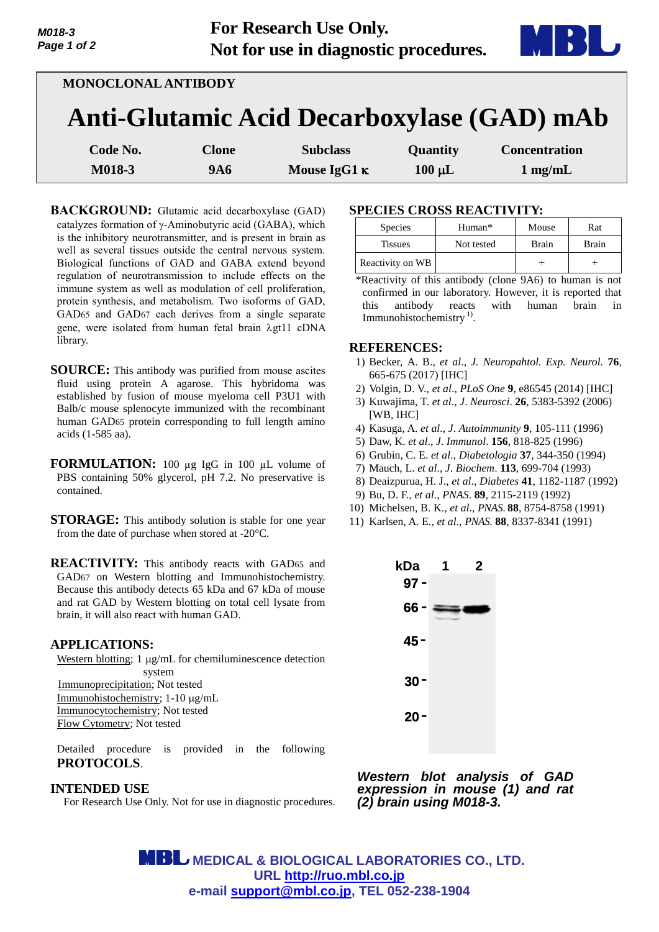| <b>MONOCLONAL ANTIBODY</b> |              |                     |             |                                            |
|----------------------------|--------------|---------------------|-------------|--------------------------------------------|
|                            |              |                     |             | Anti-Glutamic Acid Decarboxylase (GAD) mAb |
| Code No.                   | <b>Clone</b> | <b>Subclass</b>     | Quantity    | <b>Concentration</b>                       |
| M018-3                     | <b>9A6</b>   | Mouse IgG1 $\kappa$ | $100 \mu L$ | $1 \text{ mg/mL}$                          |

**BACKGROUND:** Glutamic acid decarboxylase (GAD) catalyzes formation of  $\gamma$ -Aminobutyric acid (GABA), which is the inhibitory neurotransmitter, and is present in brain as well as several tissues outside the central nervous system. Biological functions of GAD and GABA extend beyond regulation of neurotransmission to include effects on the immune system as well as modulation of cell proliferation, protein synthesis, and metabolism. Two isoforms of GAD, GAD65 and GAD67 each derives from a single separate gene, were isolated from human fetal brain  $\lambda$ gt11 cDNA library.

- **SOURCE:** This antibody was purified from mouse ascites fluid using protein A agarose. This hybridoma was established by fusion of mouse myeloma cell P3U1 with Balb/c mouse splenocyte immunized with the recombinant human GAD65 protein corresponding to full length amino acids (1-585 aa).
- **FORMULATION:** 100 µg IgG in 100 µL volume of PBS containing 50% glycerol, pH 7.2. No preservative is contained.
- **STORAGE:** This antibody solution is stable for one year from the date of purchase when stored at -20°C.
- **REACTIVITY:** This antibody reacts with GAD<sup>65</sup> and GAD67 on Western blotting and Immunohistochemistry. Because this antibody detects 65 kDa and 67 kDa of mouse and rat GAD by Western blotting on total cell lysate from brain, it will also react with human GAD.

### **APPLICATIONS:**

*M018-3 Page 1 of 2*

> Western blotting; 1 µg/mL for chemiluminescence detection system Immunoprecipitation; Not tested Immunohistochemistry; 1-10  $\mu$ g/mL Immunocytochemistry; Not tested Flow Cytometry; Not tested

> Detailed procedure is provided in the following **PROTOCOLS**.

# **INTENDED USE**

For Research Use Only. Not for use in diagnostic procedures.

# **SPECIES CROSS REACTIVITY:**

| <b>Species</b>   | Human*     | Mouse | Rat   |
|------------------|------------|-------|-------|
| <b>Tissues</b>   | Not tested | Brain | Brain |
| Reactivity on WB |            |       |       |

\*Reactivity of this antibody (clone 9A6) to human is not confirmed in our laboratory. However, it is reported that this antibody reacts with human brain in Immunohistochemistry<sup>1)</sup>.

## **REFERENCES:**

- 1) Becker, A. B., *et al*., *J. Neuropahtol. Exp. Neurol.* **76**, 665-675 (2017) [IHC]
- 2) Volgin, D. V., *et al*., *PLoS One* **9**, e86545 (2014) [IHC]
- 3) Kuwajima, T. *et al*., *J*. *Neurosci*. **26**, 5383-5392 (2006) [WB, IHC]
- 4) Kasuga, A. *et al*., *J*. *Autoimmunity* **9**, 105-111 (1996)
- 5) Daw, K. *et al*., *J*. *Immunol*. **156**, 818-825 (1996)
- 6) Grubin, C. E. *et al*., *Diabetologia* **37**, 344-350 (1994)
- 7) Mauch, L. *et al*., *J*. *Biochem*. **113**, 699-704 (1993)
- 8) Deaizpurua, H. J., *et al*., *Diabetes* **41**, 1182-1187 (1992)
- 9) Bu, D. F., *et al*., *PNAS*. **89**, 2115-2119 (1992)
- 10) Michelsen, B. K., *et al*., *PNAS*. **88**, 8754-8758 (1991)
- 11) Karlsen, A. E., *et al*., *PNAS*. **88**, 8337-8341 (1991)



*Western blot analysis of GAD expression in mouse (1) and rat (2) brain using M018-3.* 

 **MEDICAL & BIOLOGICAL LABORATORIES CO., LTD. URL [http://ruo.mbl.co.jp](http://ruo.mbl.co.jp/) e-mail [support@mbl.co.jp,](support@mbl.co.jp) TEL 052-238-1904**